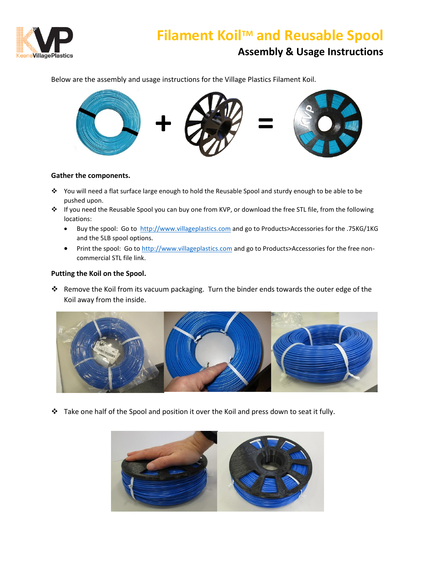

## **Filament Koil<sup>™</sup> and Reusable Spool Assembly & Usage Instructions**

Below are the assembly and usage instructions for the Village Plastics Filament Koil.



### **Gather the components.**

- ❖ You will need a flat surface large enough to hold the Reusable Spool and sturdy enough to be able to be pushed upon.
- ❖ If you need the Reusable Spool you can buy one from KVP, or download the free STL file, from the following locations:
	- Buy the spool: Go to [http://www.villageplastics.com](http://www.villageplastics.com/) and go to Products>Accessories for the .75KG/1KG and the 5LB spool options.
	- Print the spool: Go t[o http://www.villageplastics.com](http://www.villageplastics.com/) and go to Products>Accessories for the free noncommercial STL file link.

### **Putting the Koil on the Spool.**

❖ Remove the Koil from its vacuum packaging. Turn the binder ends towards the outer edge of the Koil away from the inside.



❖ Take one half of the Spool and position it over the Koil and press down to seat it fully.

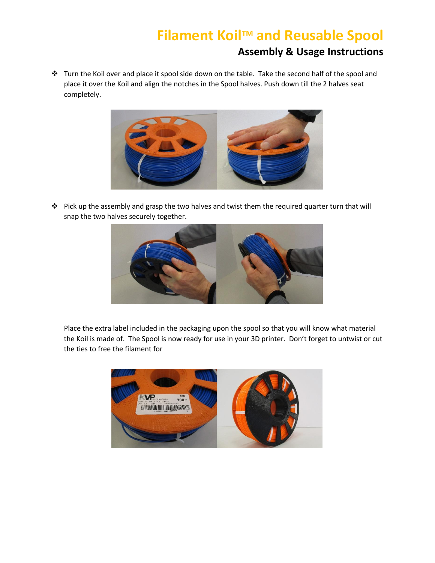# **Filament KoilTM and Reusable Spool**

### **Assembly & Usage Instructions**

❖ Turn the Koil over and place it spool side down on the table. Take the second half of the spool and place it over the Koil and align the notches in the Spool halves. Push down till the 2 halves seat completely.



❖ Pick up the assembly and grasp the two halves and twist them the required quarter turn that will snap the two halves securely together.



Place the extra label included in the packaging upon the spool so that you will know what material the Koil is made of. The Spool is now ready for use in your 3D printer. Don't forget to untwist or cut the ties to free the filament for